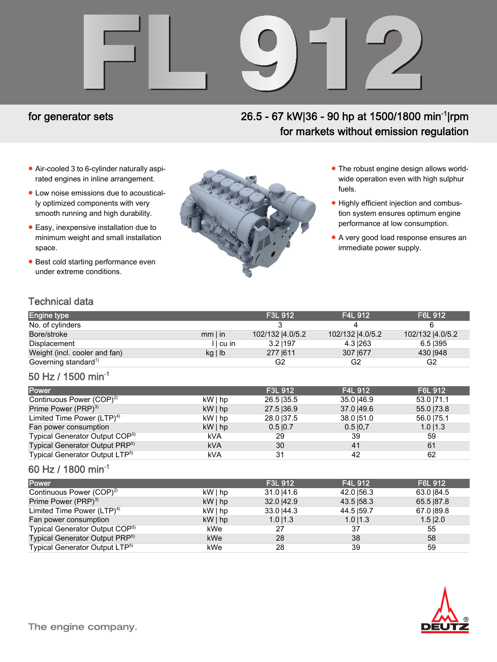# FL 912

## for generator sets

# 26.5 - 67 kW|36 - 90 hp at 1500/1800 min<sup>-1</sup>|rpm for markets without emission regulation

- Air-cooled 3 to 6-cylinder naturally aspirated engines in inline arrangement.
- Low noise emissions due to acoustically optimized components with very smooth running and high durability.
- Easy, inexpensive installation due to minimum weight and small installation space.
- **Best cold starting performance even** under extreme conditions.



- The robust engine design allows worldwide operation even with high sulphur fuels.
- Highly efficient injection and combustion system ensures optimum engine performance at low consumption.
- A very good load response ensures an immediate power supply.

### Technical data

| <b>Engine type</b>               |              | F3L 912          | <b>F4L 912</b>   | F6L 912          |
|----------------------------------|--------------|------------------|------------------|------------------|
| No. of cylinders                 |              |                  |                  |                  |
| Bore/stroke                      | $mm$ I in    | 102/132  4.0/5.2 | 102/132  4.0/5.2 | 102/132  4.0/5.2 |
| Displacement                     | I cu in      | 3.21197          | 4.31263          | 6.5 395          |
| Weight (incl. cooler and fan)    | $kg \mid lb$ | 277 1611         | 307 1677         | 430   948        |
| Governing standard <sup>1)</sup> |              | G2               | G2               | G <sub>2</sub>   |

### 50 Hz / 1500 min-1

| Power                                      |            | F3L 912   | <b>F4L 912</b> | F6L 912     |
|--------------------------------------------|------------|-----------|----------------|-------------|
| Continuous Power (COP) <sup>2)</sup>       | kW   hp    | 26.5 35.5 | 35.0   46.9    | 53.0   71.1 |
| Prime Power (PRP) <sup>3)</sup>            | $kW $ hp   | 27.5 36.9 | 37.0   49.6    | 55.0   73.8 |
| Limited Time Power $(LTP)^4$               | kW   hp    | 28.0 37.5 | 38.0   51.0    | 56.0   75.1 |
| Fan power consumption                      | $kW $ hp   | 0.510.7   | 0.510.7        | $1.0$  1.3  |
| Typical Generator Output COP <sup>5)</sup> | <b>kVA</b> | 29        | 39             | 59          |
| Typical Generator Output PRP <sup>5)</sup> | <b>kVA</b> | 30        | 41             | 61          |
| Typical Generator Output LTP <sup>5)</sup> | <b>kVA</b> | 31        | 42             | 62          |

### 60 Hz / 1800 min-1

| <b>Power</b>                               |          | F3L 912     | F4L 912     | <b>F6L 912</b> |
|--------------------------------------------|----------|-------------|-------------|----------------|
| Continuous Power (COP) <sup>2)</sup>       | kW   hp  | 31.0 41.6   | 42.0 56.3   | 63.0 84.5      |
| Prime Power (PRP) <sup>3)</sup>            | $kW $ hp | 32.0   42.9 | 43.5   58.3 | 65.5 87.8      |
| Limited Time Power $(LTP)^4$               | $kW $ hp | 33.0   44.3 | 44.5   59.7 | 67.0 89.8      |
| Fan power consumption                      | $kW $ hp | 1.011.3     | $1.0$   1.3 | $1.5$ $ 2.0$   |
| Typical Generator Output COP <sup>5)</sup> | kWe      | 27          | 37          | 55             |
| Typical Generator Output PRP <sup>5)</sup> | kWe      | 28          | 38          | 58             |
| Typical Generator Output LTP <sup>5)</sup> | kWe      | 28          | 39          | 59             |